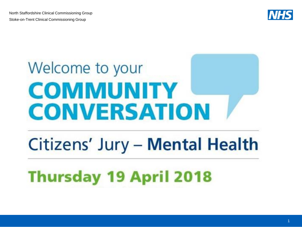

# Welcome to your **COMMUNITY CONVERSATION**

# Citizens' Jury - Mental Health

# **Thursday 19 April 2018**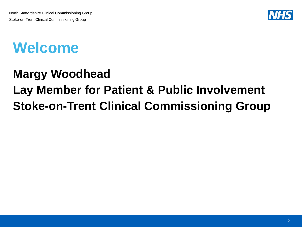

## **Welcome**

## **Margy Woodhead Lay Member for Patient & Public Involvement Stoke-on-Trent Clinical Commissioning Group**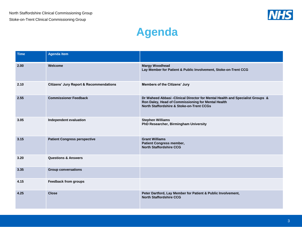

#### **Agenda**

| <b>Time</b> | <b>Agenda Item</b>                                 |                                                                                                                                                                                              |
|-------------|----------------------------------------------------|----------------------------------------------------------------------------------------------------------------------------------------------------------------------------------------------|
| 2.00        | Welcome                                            | <b>Margy Woodhead</b><br>Lay Member for Patient & Public Involvement, Stoke-on-Trent CCG                                                                                                     |
| 2.10        | <b>Citizens' Jury Report &amp; Recommendations</b> | <b>Members of the Citizens' Jury</b>                                                                                                                                                         |
| 2.55        | <b>Commissioner Feedback</b>                       | Dr Waheed Abbasi - Clinical Director for Mental Health and Specialist Groups &<br>Ron Daley, Head of Commissioning for Mental Health<br><b>North Staffordshire &amp; Stoke-on-Trent CCGs</b> |
| 3.05        | Independent evaluation                             | <b>Stephen Williams</b><br>PhD Researcher, Birmingham University                                                                                                                             |
| 3.15        | <b>Patient Congress perspective</b>                | <b>Grant Williams</b><br>Patient Congress member,<br><b>North Staffordshire CCG</b>                                                                                                          |
| 3.20        | <b>Questions &amp; Answers</b>                     |                                                                                                                                                                                              |
| 3.35        | <b>Group conversations</b>                         |                                                                                                                                                                                              |
| 4.15        | <b>Feedback from groups</b>                        |                                                                                                                                                                                              |
| 4.25        | <b>Close</b>                                       | Peter Dartford, Lay Member for Patient & Public Involvement,<br><b>North Staffordshire CCG</b>                                                                                               |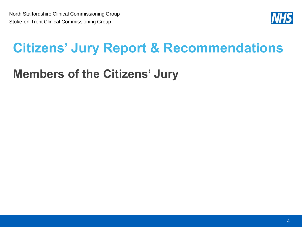

## **Citizens' Jury Report & Recommendations**

## **Members of the Citizens' Jury**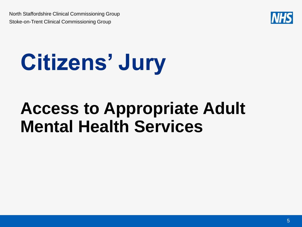

# **Citizens' Jury**

# **Access to Appropriate Adult Mental Health Services**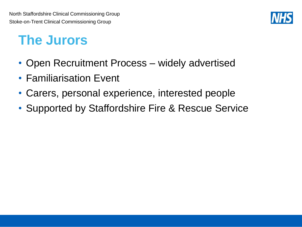

## **The Jurors**

- Open Recruitment Process widely advertised
- Familiarisation Event
- Carers, personal experience, interested people
- Supported by Staffordshire Fire & Rescue Service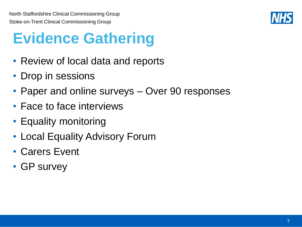

# **Evidence Gathering**

- Review of local data and reports
- Drop in sessions
- Paper and online surveys Over 90 responses
- Face to face interviews
- Equality monitoring
- Local Equality Advisory Forum
- Carers Event
- GP survey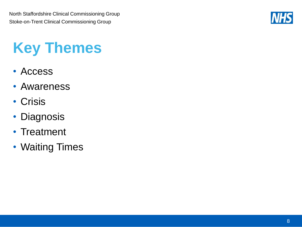

# **Key Themes**

- Access
- Awareness
- Crisis
- Diagnosis
- Treatment
- Waiting Times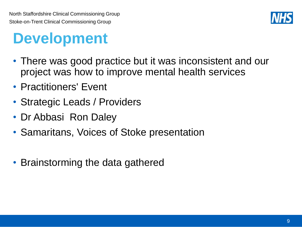

# **Development**

- There was good practice but it was inconsistent and our project was how to improve mental health services
- Practitioners' Event
- Strategic Leads / Providers
- Dr Abbasi Ron Daley
- Samaritans, Voices of Stoke presentation
- Brainstorming the data gathered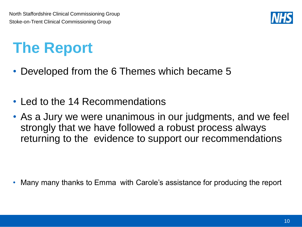

# **The Report**

- Developed from the 6 Themes which became 5
- Led to the 14 Recommendations
- As a Jury we were unanimous in our judgments, and we feel strongly that we have followed a robust process always returning to the evidence to support our recommendations

• Many many thanks to Emma with Carole's assistance for producing the report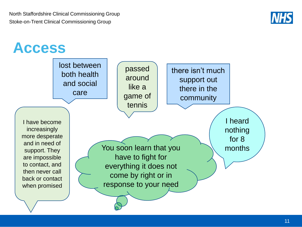

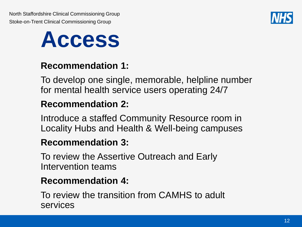



#### **Recommendation 1:**

To develop one single, memorable, helpline number for mental health service users operating 24/7

#### **Recommendation 2:**

Introduce a staffed Community Resource room in Locality Hubs and Health & Well-being campuses

#### **Recommendation 3:**

To review the Assertive Outreach and Early Intervention teams

#### **Recommendation 4:**

To review the transition from CAMHS to adult services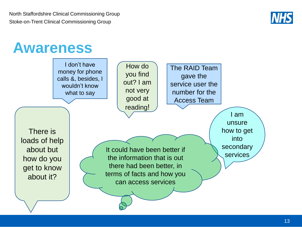

## **Awareness**

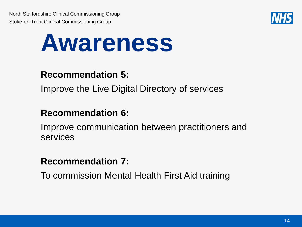

# **Awareness**

#### **Recommendation 5:**

Improve the Live Digital Directory of services

#### **Recommendation 6:**

Improve communication between practitioners and services

#### **Recommendation 7:**

To commission Mental Health First Aid training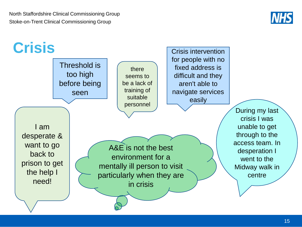

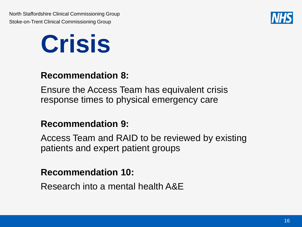



#### **Recommendation 8:**

Ensure the Access Team has equivalent crisis response times to physical emergency care

#### **Recommendation 9:**

Access Team and RAID to be reviewed by existing patients and expert patient groups

#### **Recommendation 10:**

Research into a mental health A&E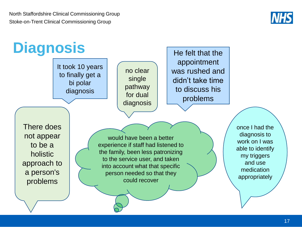

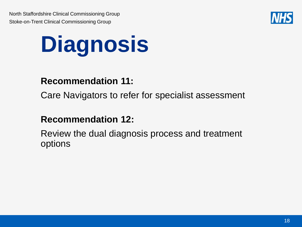

# **Diagnosis**

#### **Recommendation 11:**

Care Navigators to refer for specialist assessment

#### **Recommendation 12:**

Review the dual diagnosis process and treatment options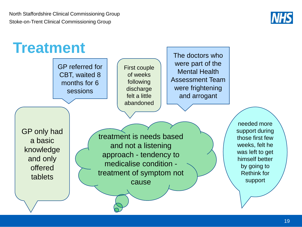

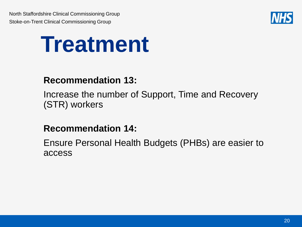

# **Treatment**

#### **Recommendation 13:**

Increase the number of Support, Time and Recovery (STR) workers

#### **Recommendation 14:**

Ensure Personal Health Budgets (PHBs) are easier to access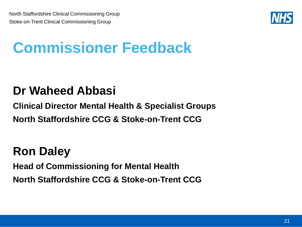

# **Commissioner Feedback**

### **Dr Waheed Abbasi**

**Clinical Director Mental Health & Specialist Groups North Staffordshire CCG & Stoke-on-Trent CCG**

## **Ron Daley**

**Head of Commissioning for Mental Health North Staffordshire CCG & Stoke-on-Trent CCG**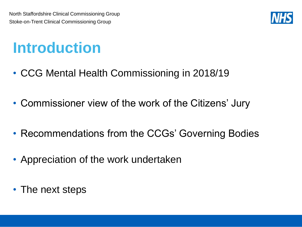

## **Introduction**

- CCG Mental Health Commissioning in 2018/19
- Commissioner view of the work of the Citizens' Jury
- Recommendations from the CCGs' Governing Bodies
- Appreciation of the work undertaken
- The next steps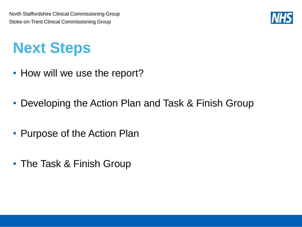

# **Next Steps**

- How will we use the report?
- Developing the Action Plan and Task & Finish Group
- Purpose of the Action Plan
- The Task & Finish Group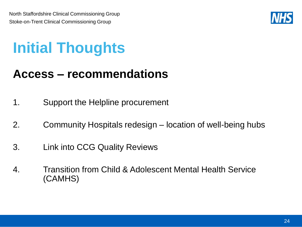

# **Initial Thoughts**

## **Access – recommendations**

- 1. Support the Helpline procurement
- 2. Community Hospitals redesign location of well-being hubs
- 3. Link into CCG Quality Reviews
- 4. Transition from Child & Adolescent Mental Health Service (CAMHS)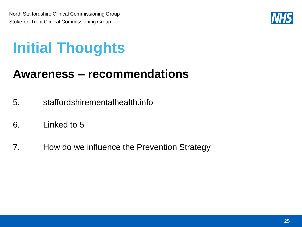

# **Initial Thoughts**

### **Awareness – recommendations**

- 5. staffordshirementalhealth.info
- 6. Linked to 5
- 7. How do we influence the Prevention Strategy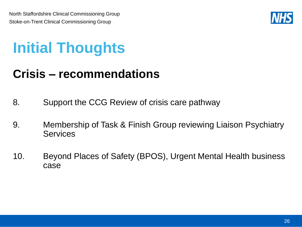

# **Initial Thoughts**

## **Crisis – recommendations**

- 8. Support the CCG Review of crisis care pathway
- 9. Membership of Task & Finish Group reviewing Liaison Psychiatry **Services**
- 10. Beyond Places of Safety (BPOS), Urgent Mental Health business case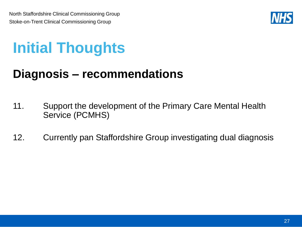

# **Initial Thoughts**

### **Diagnosis – recommendations**

- 11. Support the development of the Primary Care Mental Health Service (PCMHS)
- 12. Currently pan Staffordshire Group investigating dual diagnosis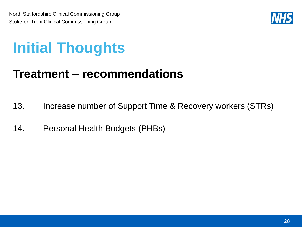

# **Initial Thoughts**

### **Treatment – recommendations**

- 13. Increase number of Support Time & Recovery workers (STRs)
- 14. Personal Health Budgets (PHBs)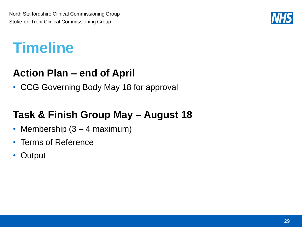

## **Timeline**

#### **Action Plan – end of April**

• CCG Governing Body May 18 for approval

### **Task & Finish Group May – August 18**

- Membership (3 4 maximum)
- Terms of Reference
- Output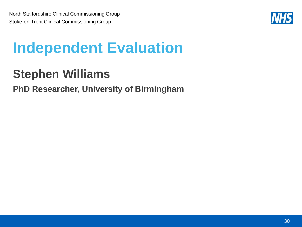

# **Independent Evaluation**

## **Stephen Williams**

#### **PhD Researcher, University of Birmingham**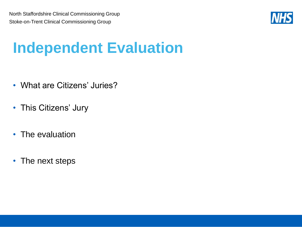

# **Independent Evaluation**

- What are Citizens' Juries?
- This Citizens' Jury
- The evaluation
- The next steps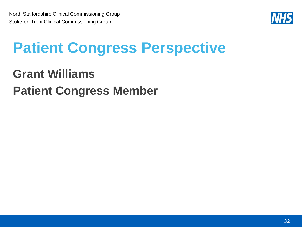

# **Patient Congress Perspective**

## **Grant Williams Patient Congress Member**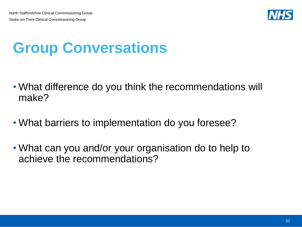

# **Group Conversations**

- What difference do you think the recommendations will make?
- What barriers to implementation do you foresee?
- What can you and/or your organisation do to help to achieve the recommendations?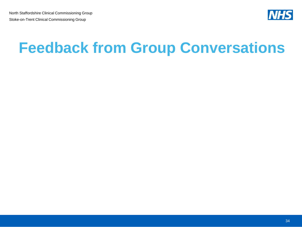

# **Feedback from Group Conversations**